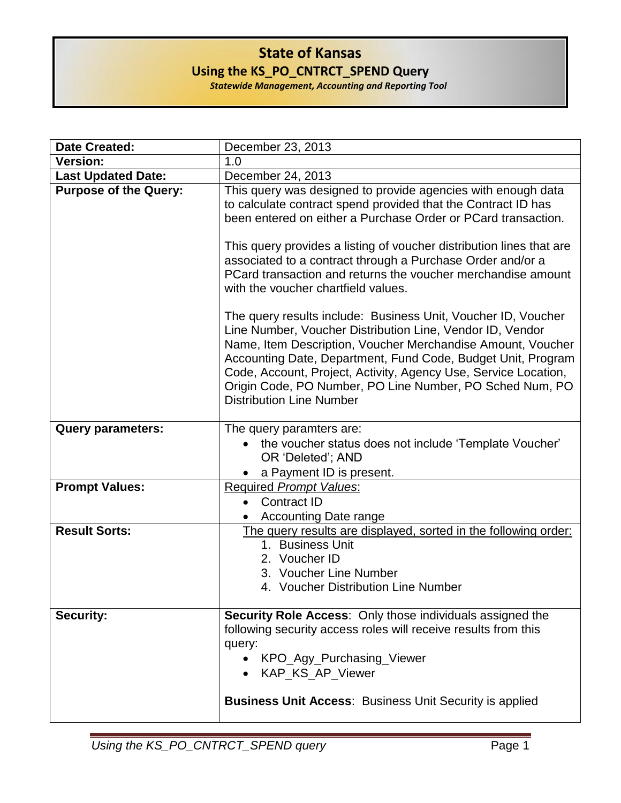## **State of Kansas Using the KS\_PO\_CNTRCT\_SPEND Query**

*Statewide Management, Accounting and Reporting Tool*

|                              | December 23, 2013                                                                                                                                                                                                                                                                                                                                                                                                                                                                                                                                                         |
|------------------------------|---------------------------------------------------------------------------------------------------------------------------------------------------------------------------------------------------------------------------------------------------------------------------------------------------------------------------------------------------------------------------------------------------------------------------------------------------------------------------------------------------------------------------------------------------------------------------|
| <b>Version:</b>              | 1.0                                                                                                                                                                                                                                                                                                                                                                                                                                                                                                                                                                       |
| <b>Last Updated Date:</b>    | December 24, 2013                                                                                                                                                                                                                                                                                                                                                                                                                                                                                                                                                         |
| <b>Purpose of the Query:</b> | This query was designed to provide agencies with enough data<br>to calculate contract spend provided that the Contract ID has<br>been entered on either a Purchase Order or PCard transaction.<br>This query provides a listing of voucher distribution lines that are<br>associated to a contract through a Purchase Order and/or a<br>PCard transaction and returns the voucher merchandise amount<br>with the voucher chartfield values.<br>The query results include: Business Unit, Voucher ID, Voucher<br>Line Number, Voucher Distribution Line, Vendor ID, Vendor |
|                              | Name, Item Description, Voucher Merchandise Amount, Voucher<br>Accounting Date, Department, Fund Code, Budget Unit, Program<br>Code, Account, Project, Activity, Agency Use, Service Location,<br>Origin Code, PO Number, PO Line Number, PO Sched Num, PO<br><b>Distribution Line Number</b>                                                                                                                                                                                                                                                                             |
| <b>Query parameters:</b>     | The query paramters are:<br>the voucher status does not include 'Template Voucher'<br>OR 'Deleted'; AND<br>a Payment ID is present.                                                                                                                                                                                                                                                                                                                                                                                                                                       |
| <b>Prompt Values:</b>        | <b>Required Prompt Values:</b><br><b>Contract ID</b><br><b>Accounting Date range</b>                                                                                                                                                                                                                                                                                                                                                                                                                                                                                      |
| <b>Result Sorts:</b>         | The query results are displayed, sorted in the following order:<br>1. Business Unit<br>2. Voucher ID<br>3. Voucher Line Number<br>4. Voucher Distribution Line Number                                                                                                                                                                                                                                                                                                                                                                                                     |
| <b>Security:</b>             | <b>Security Role Access:</b> Only those individuals assigned the<br>following security access roles will receive results from this<br>query:<br>• KPO_Agy_Purchasing_Viewer<br>• KAP_KS_AP_Viewer<br><b>Business Unit Access: Business Unit Security is applied</b>                                                                                                                                                                                                                                                                                                       |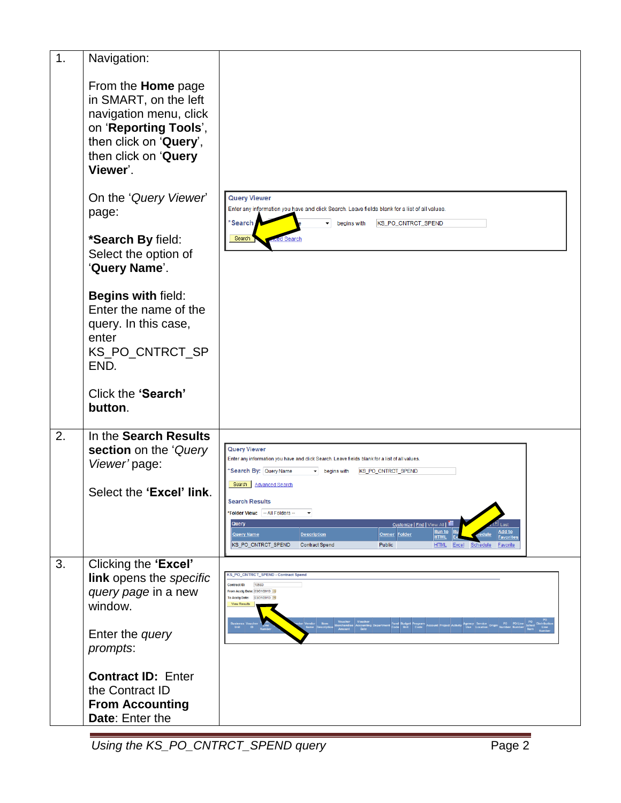| 1.                             | Navigation:                                                                                                                                                                                  |                                                                                                                                                                                                                                                                                                              |
|--------------------------------|----------------------------------------------------------------------------------------------------------------------------------------------------------------------------------------------|--------------------------------------------------------------------------------------------------------------------------------------------------------------------------------------------------------------------------------------------------------------------------------------------------------------|
|                                | From the <b>Home</b> page<br>in SMART, on the left<br>navigation menu, click<br>on 'Reporting Tools',<br>then click on 'Query',<br>then click on 'Query<br>Viewer'.                          |                                                                                                                                                                                                                                                                                                              |
| On the 'Query Viewer'<br>page: | <b>Query Viewer</b><br>Enter any information you have and click Search. Leave fields blank for a list of all values.<br>*Search I<br>$\blacktriangleright$ begins with<br>KS_PO_CNTRCT_SPEND |                                                                                                                                                                                                                                                                                                              |
|                                | *Search By field:<br>Select the option of<br>'Query Name'.                                                                                                                                   | Search                                                                                                                                                                                                                                                                                                       |
|                                | Begins with field:<br>Enter the name of the<br>query. In this case,<br>enter<br>KS_PO_CNTRCT_SP<br>END.                                                                                      |                                                                                                                                                                                                                                                                                                              |
|                                | Click the 'Search'<br>button.                                                                                                                                                                |                                                                                                                                                                                                                                                                                                              |
| 2.                             | In the Search Results<br>section on the 'Query<br>Viewer' page:                                                                                                                              | <b>Query Viewer</b><br>Enter any information you have and click Search. Leave fields blank for a list of all values.<br>*Search By: Query Name<br>begins with KS_PO_CNTRCT_SPEND                                                                                                                             |
|                                | Select the 'Excel' link.                                                                                                                                                                     | Search   Advanced Search<br><b>Search Results</b>                                                                                                                                                                                                                                                            |
|                                |                                                                                                                                                                                              | *Folder View: - All Folders --<br>Query<br>Customize   Find   View All   THE<br>Add to<br><u>Run to</u><br>Owner Folder<br><b>Description</b><br>Query Name<br><b>HTMI</b><br><b>Favorit</b><br>KS_PO_CNTRCT_SPEND<br>Public<br><b>Contract Spend</b><br><b>HTML</b><br>Excel<br>Schedule<br><b>Favorite</b> |
| 3.                             | Clicking the 'Excel'<br>link opens the specific<br>query page in a new<br>window.                                                                                                            | KS_PO_CNTRCT_SPEND - Contract Spend<br>10583<br><b>Contract ID:</b><br>From Acctg Date: 03/01/2013<br>To Acctg Date: 03/31/2013 1<br>View Results                                                                                                                                                            |
|                                | Enter the query<br>prompts:                                                                                                                                                                  |                                                                                                                                                                                                                                                                                                              |
|                                | <b>Contract ID: Enter</b><br>the Contract ID<br><b>From Accounting</b><br>Date: Enter the                                                                                                    |                                                                                                                                                                                                                                                                                                              |

*Using the KS\_PO\_CNTRCT\_SPEND query* Page 2